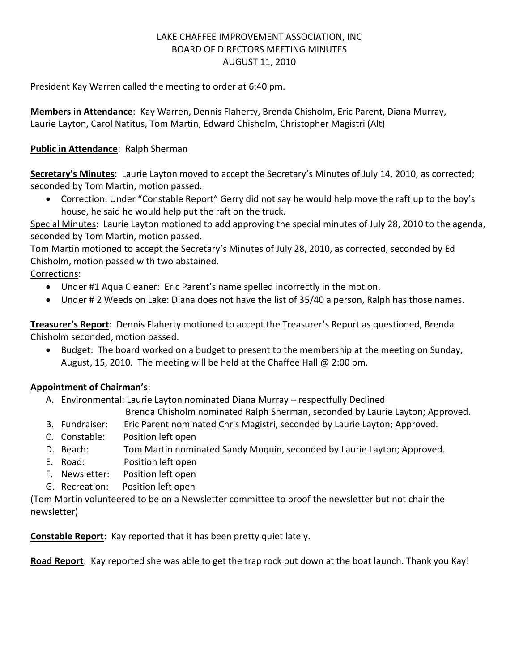# LAKE CHAFFEE IMPROVEMENT ASSOCIATION, INC BOARD OF DIRECTORS MEETING MINUTES AUGUST 11, 2010

President Kay Warren called the meeting to order at 6:40 pm.

**Members in Attendance**: Kay Warren, Dennis Flaherty, Brenda Chisholm, Eric Parent, Diana Murray, Laurie Layton, Carol Natitus, Tom Martin, Edward Chisholm, Christopher Magistri (Alt)

# **Public in Attendance**: Ralph Sherman

**Secretary's Minutes**: Laurie Layton moved to accept the Secretary's Minutes of July 14, 2010, as corrected; seconded by Tom Martin, motion passed.

 Correction: Under "Constable Report" Gerry did not say he would help move the raft up to the boy's house, he said he would help put the raft on the truck.

Special Minutes: Laurie Layton motioned to add approving the special minutes of July 28, 2010 to the agenda, seconded by Tom Martin, motion passed.

Tom Martin motioned to accept the Secretary's Minutes of July 28, 2010, as corrected, seconded by Ed Chisholm, motion passed with two abstained.

# Corrections:

- Under #1 Aqua Cleaner: Eric Parent's name spelled incorrectly in the motion.
- Under # 2 Weeds on Lake: Diana does not have the list of 35/40 a person, Ralph has those names.

**Treasurer's Report**: Dennis Flaherty motioned to accept the Treasurer's Report as questioned, Brenda Chisholm seconded, motion passed.

• Budget: The board worked on a budget to present to the membership at the meeting on Sunday, August, 15, 2010. The meeting will be held at the Chaffee Hall @ 2:00 pm.

# **Appointment of Chairman's**:

A. Environmental: Laurie Layton nominated Diana Murray – respectfully Declined

Brenda Chisholm nominated Ralph Sherman, seconded by Laurie Layton; Approved.

- B. Fundraiser: Eric Parent nominated Chris Magistri, seconded by Laurie Layton; Approved.
- C. Constable: Position left open
- D. Beach: Tom Martin nominated Sandy Moquin, seconded by Laurie Layton; Approved.
- E. Road: Position left open
- F. Newsletter: Position left open
- G. Recreation: Position left open

(Tom Martin volunteered to be on a Newsletter committee to proof the newsletter but not chair the newsletter)

**Constable Report**: Kay reported that it has been pretty quiet lately.

**Road Report**: Kay reported she was able to get the trap rock put down at the boat launch. Thank you Kay!